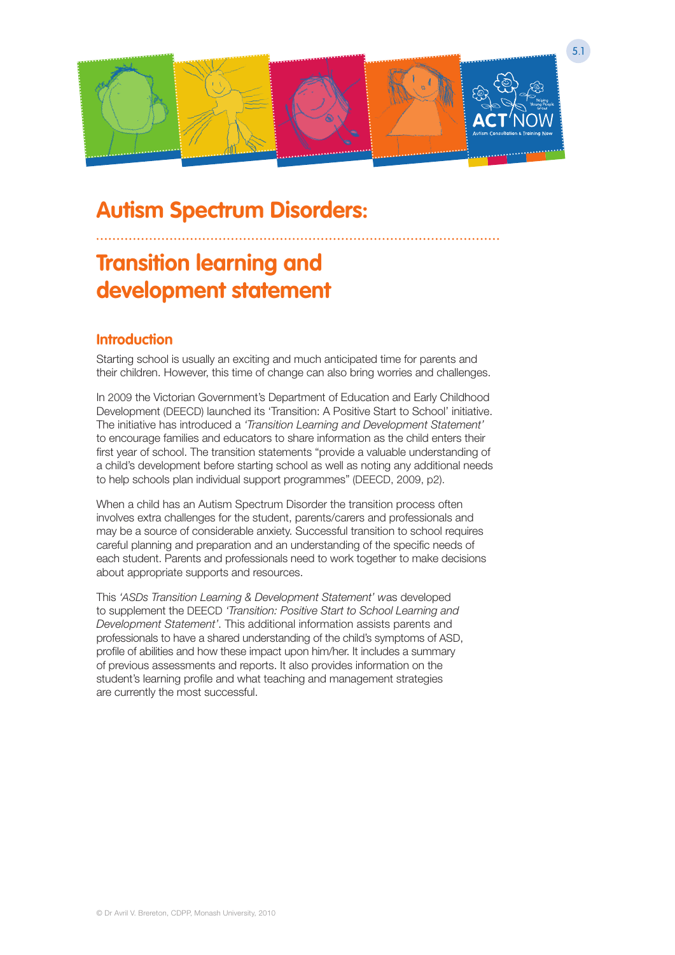

# **Autism Spectrum Disorders:**

# **Transition learning and development statement**

### **Introduction**

Starting school is usually an exciting and much anticipated time for parents and their children. However, this time of change can also bring worries and challenges.

In 2009 the Victorian Government's Department of Education and Early Childhood Development (DEECD) launched its 'Transition: A Positive Start to School' initiative. The initiative has introduced a *'Transition Learning and Development Statement'*  to encourage families and educators to share information as the child enters their first year of school. The transition statements "provide a valuable understanding of a child's development before starting school as well as noting any additional needs to help schools plan individual support programmes" (DEECD, 2009, p2).

When a child has an Autism Spectrum Disorder the transition process often involves extra challenges for the student, parents/carers and professionals and may be a source of considerable anxiety. Successful transition to school requires careful planning and preparation and an understanding of the specific needs of each student. Parents and professionals need to work together to make decisions about appropriate supports and resources.

This *'ASDs Transition Learning & Development Statement' w*as developed to supplement the DEECD *'Transition: Positive Start to School Learning and Development Statement'*. This additional information assists parents and professionals to have a shared understanding of the child's symptoms of ASD, profile of abilities and how these impact upon him/her. It includes a summary of previous assessments and reports. It also provides information on the student's learning profile and what teaching and management strategies are currently the most successful.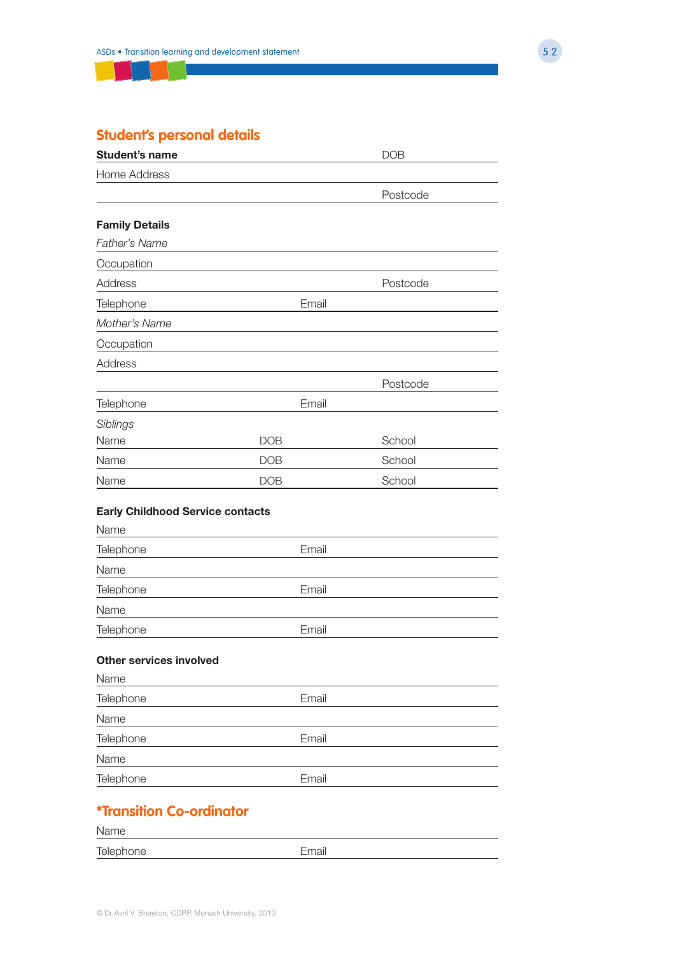# **Student's personal details**

| <b>Student's name</b>                           |            | <b>DOB</b> |
|-------------------------------------------------|------------|------------|
| <b>Home Address</b>                             |            |            |
|                                                 |            | Postcode   |
| <b>Family Details</b>                           |            |            |
| <b>Father's Name</b>                            |            |            |
| Occupation                                      |            |            |
| Address                                         |            | Postcode   |
| Telephone                                       | Email      |            |
| Mother's Name                                   |            |            |
| Occupation                                      |            |            |
| Address                                         |            |            |
|                                                 |            | Postcode   |
| Telephone                                       | Email      |            |
| Siblings                                        |            |            |
| Name                                            | <b>DOB</b> | School     |
| Name                                            | <b>DOB</b> | School     |
| Name                                            | <b>DOB</b> | School     |
|                                                 |            |            |
| <b>Early Childhood Service contacts</b><br>Name |            |            |
| Telephone                                       | Email      |            |
| Name                                            |            |            |
| Telephone                                       | Email      |            |
| Name                                            |            |            |
| Telephone                                       | Email      |            |
|                                                 |            |            |
| <b>Other services involved</b>                  |            |            |
| Name                                            |            |            |
| Telephone                                       | Email      |            |
| Name                                            |            |            |
| Telephone                                       | Email      |            |
| Name                                            |            |            |
| Telephone                                       | Email      |            |
| <b>*Transition Co-ordinator</b>                 |            |            |
| Name                                            |            |            |
| Telephone                                       | Email      |            |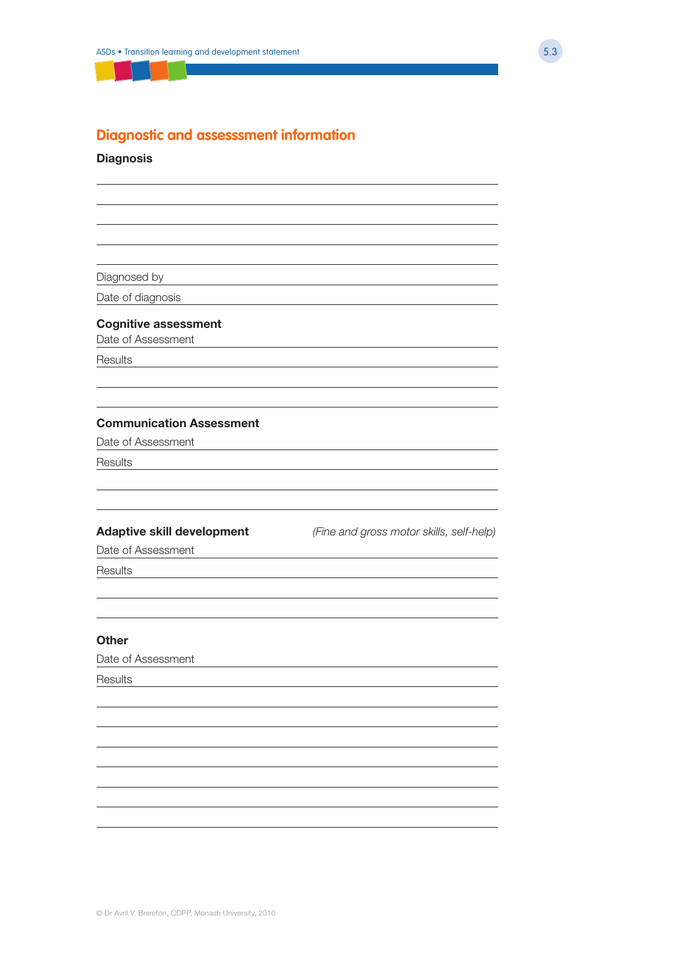### **Diagnostic and assesssment information**

#### **Diagnosis**

Diagnosed by

Date of diagnosis

#### **Cognitive assessment**

Date of Assessment

Results

#### **Communication Assessment**

Date of Assessment

Results

**Adaptive skill development** *(Fine and gross motor skills, self-help)*

Date of Assessment

**Results** 

#### **Other**

Date of Assessment

**Results**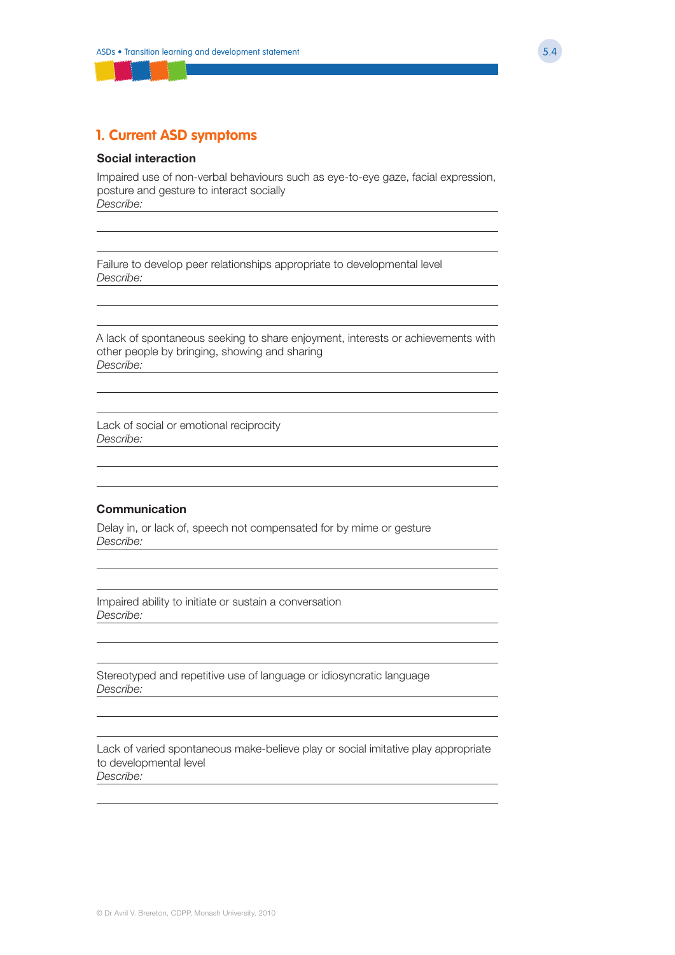### **1. Current ASD symptoms**

#### **Social interaction**

Impaired use of non-verbal behaviours such as eye-to-eye gaze, facial expression, posture and gesture to interact socially *Describe:*

Failure to develop peer relationships appropriate to developmental level *Describe:*

A lack of spontaneous seeking to share enjoyment, interests or achievements with other people by bringing, showing and sharing *Describe:*

Lack of social or emotional reciprocity *Describe:*

#### **Communication**

Delay in, or lack of, speech not compensated for by mime or gesture *Describe:*

Impaired ability to initiate or sustain a conversation *Describe:*

Stereotyped and repetitive use of language or idiosyncratic language *Describe:*

Lack of varied spontaneous make-believe play or social imitative play appropriate to developmental level *Describe:*

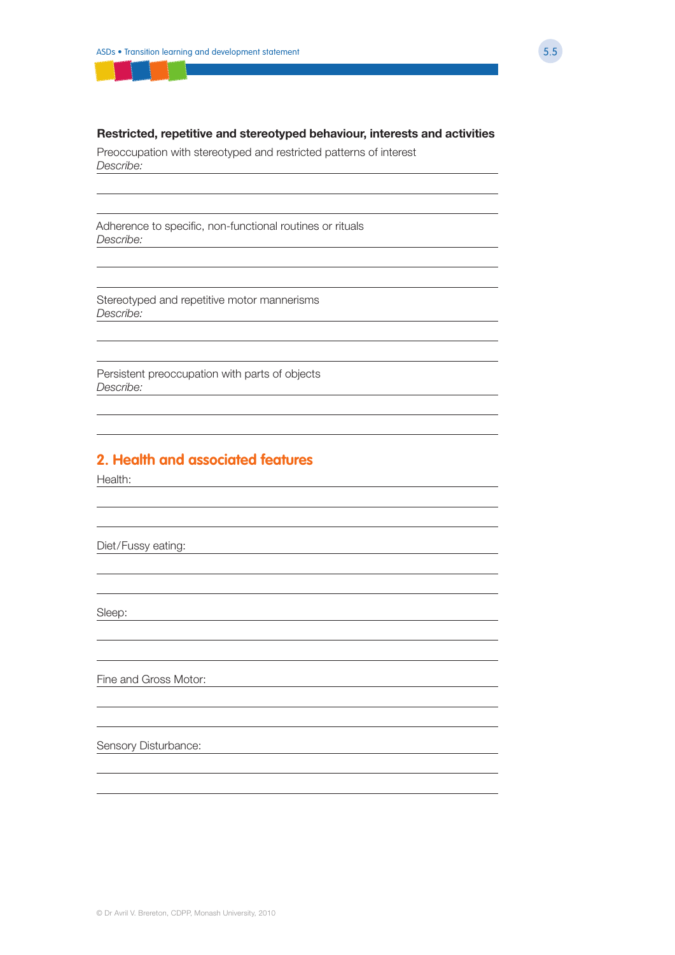#### **Restricted, repetitive and stereotyped behaviour, interests and activities**

Preoccupation with stereotyped and restricted patterns of interest *Describe:*

Adherence to specific, non-functional routines or rituals *Describe:*

Stereotyped and repetitive motor mannerisms *Describe:*

Persistent preoccupation with parts of objects *Describe:*

### **2. Health and associated features**

Health:

Diet/Fussy eating:

Sleep:

Fine and Gross Motor:

Sensory Disturbance:

© Dr Avril V. Brereton, CDPP, Monash University, 2010

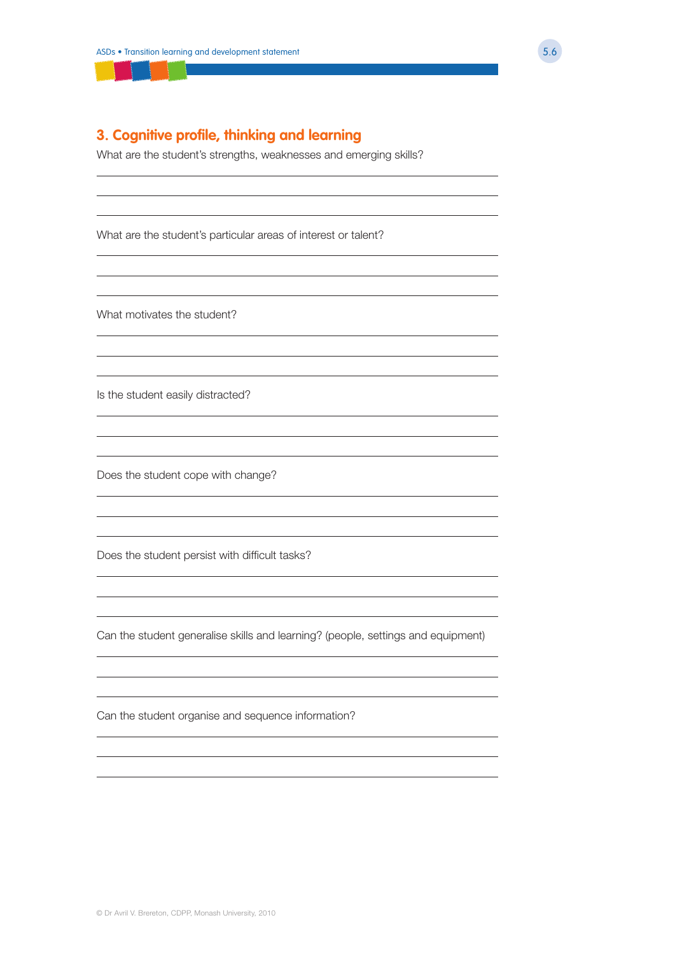### **3. Cognitive profile, thinking and learning**

What are the student's strengths, weaknesses and emerging skills?

What are the student's particular areas of interest or talent?

What motivates the student?

Is the student easily distracted?

Does the student cope with change?

Does the student persist with difficult tasks?

Can the student generalise skills and learning? (people, settings and equipment)

Can the student organise and sequence information?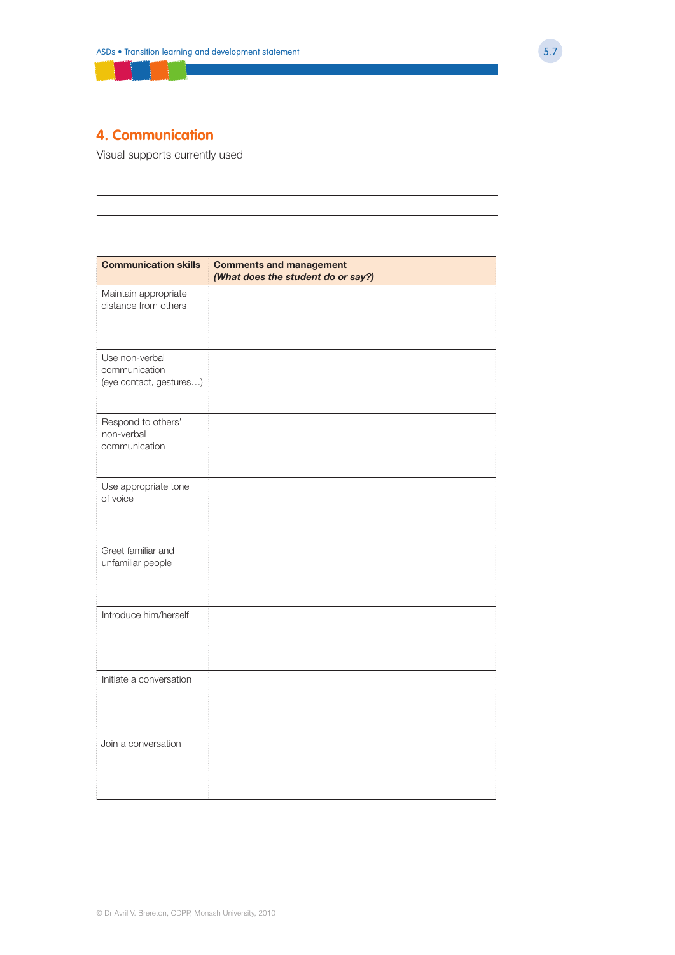

# **4. Communication**

Visual supports currently used

| <b>Communication skills</b>                                | <b>Comments and management</b><br>(What does the student do or say?) |
|------------------------------------------------------------|----------------------------------------------------------------------|
| Maintain appropriate<br>distance from others               |                                                                      |
| Use non-verbal<br>communication<br>(eye contact, gestures) |                                                                      |
| Respond to others'<br>non-verbal<br>communication          |                                                                      |
| Use appropriate tone<br>of voice                           |                                                                      |
| Greet familiar and<br>unfamiliar people                    |                                                                      |
| Introduce him/herself                                      |                                                                      |
| Initiate a conversation                                    |                                                                      |
| Join a conversation                                        |                                                                      |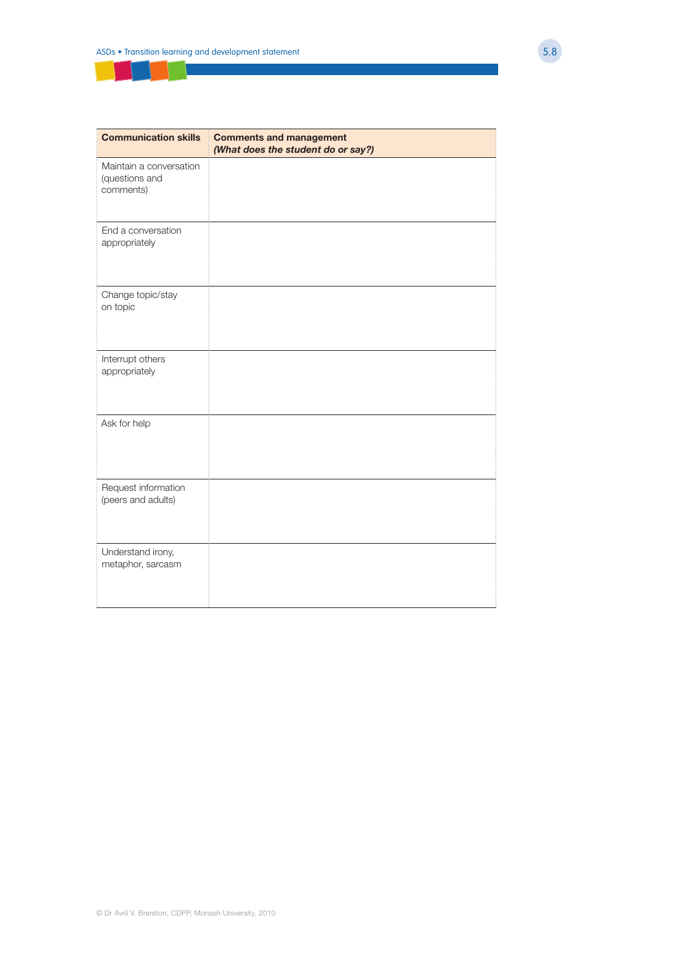| <b>Communication skills</b>                            | <b>Comments and management</b><br>(What does the student do or say?) |
|--------------------------------------------------------|----------------------------------------------------------------------|
| Maintain a conversation<br>(questions and<br>comments) |                                                                      |
| End a conversation<br>appropriately                    |                                                                      |
| Change topic/stay<br>on topic                          |                                                                      |
| Interrupt others<br>appropriately                      |                                                                      |
| Ask for help                                           |                                                                      |
| Request information<br>(peers and adults)              |                                                                      |
| Understand irony,<br>metaphor, sarcasm                 |                                                                      |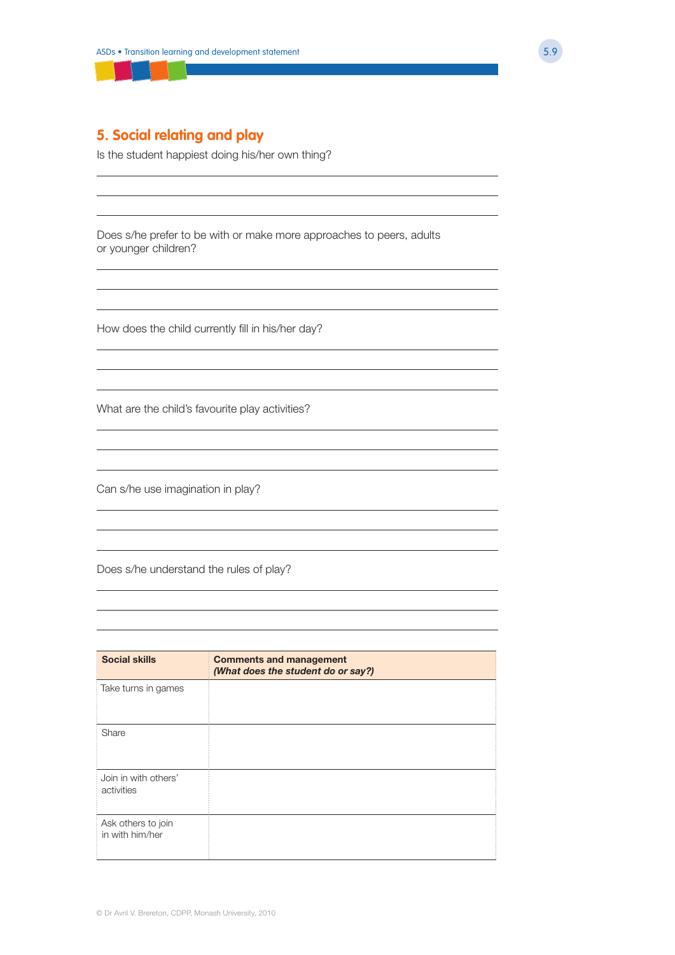### **5. Social relating and play**

Is the student happiest doing his/her own thing?

Does s/he prefer to be with or make more approaches to peers, adults or younger children?

How does the child currently fill in his/her day?

What are the child's favourite play activities?

Can s/he use imagination in play?

Does s/he understand the rules of play?

| <b>Social skills</b>                  | <b>Comments and management</b><br>(What does the student do or say?) |
|---------------------------------------|----------------------------------------------------------------------|
| Take turns in games                   |                                                                      |
| Share                                 |                                                                      |
| Join in with others'<br>activities    |                                                                      |
| Ask others to join<br>in with him/her |                                                                      |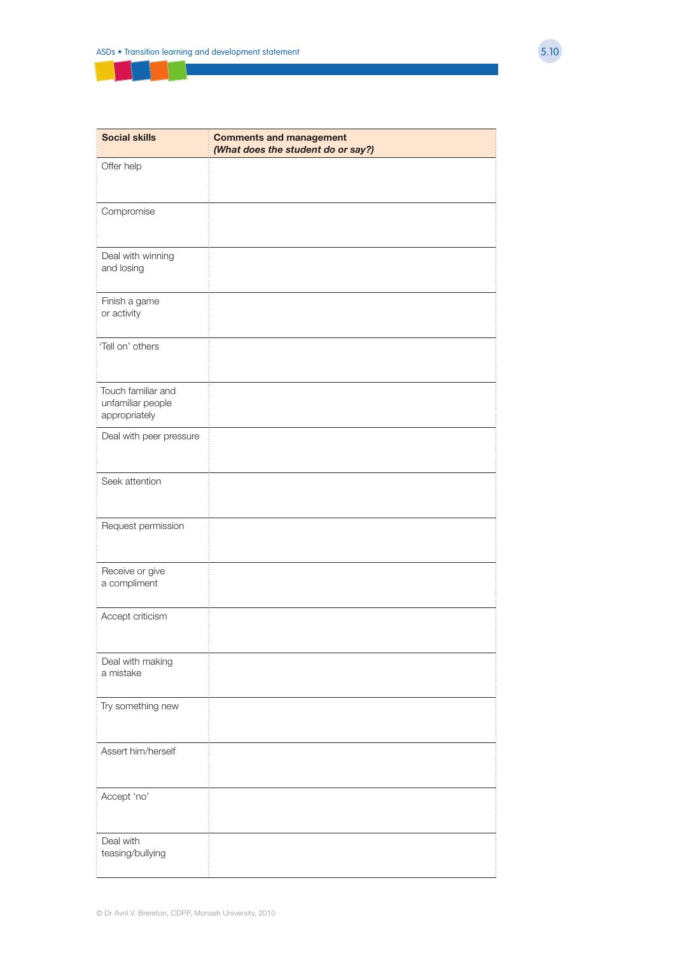| <b>Social skills</b>                                     | <b>Comments and management</b><br>(What does the student do or say?) |
|----------------------------------------------------------|----------------------------------------------------------------------|
| Offer help                                               |                                                                      |
| Compromise                                               |                                                                      |
| Deal with winning<br>and losing                          |                                                                      |
| Finish a game<br>or activity                             |                                                                      |
| 'Tell on' others                                         |                                                                      |
| Touch familiar and<br>unfamiliar people<br>appropriately |                                                                      |
| Deal with peer pressure                                  |                                                                      |
| Seek attention                                           |                                                                      |
| Request permission                                       |                                                                      |
| Receive or give<br>a compliment                          |                                                                      |
| Accept criticism                                         |                                                                      |
| Deal with making<br>a mistake                            |                                                                      |
| Try something new                                        |                                                                      |
| Assert him/herself                                       |                                                                      |
| Accept 'no'                                              |                                                                      |
| Deal with<br>teasing/bullying                            |                                                                      |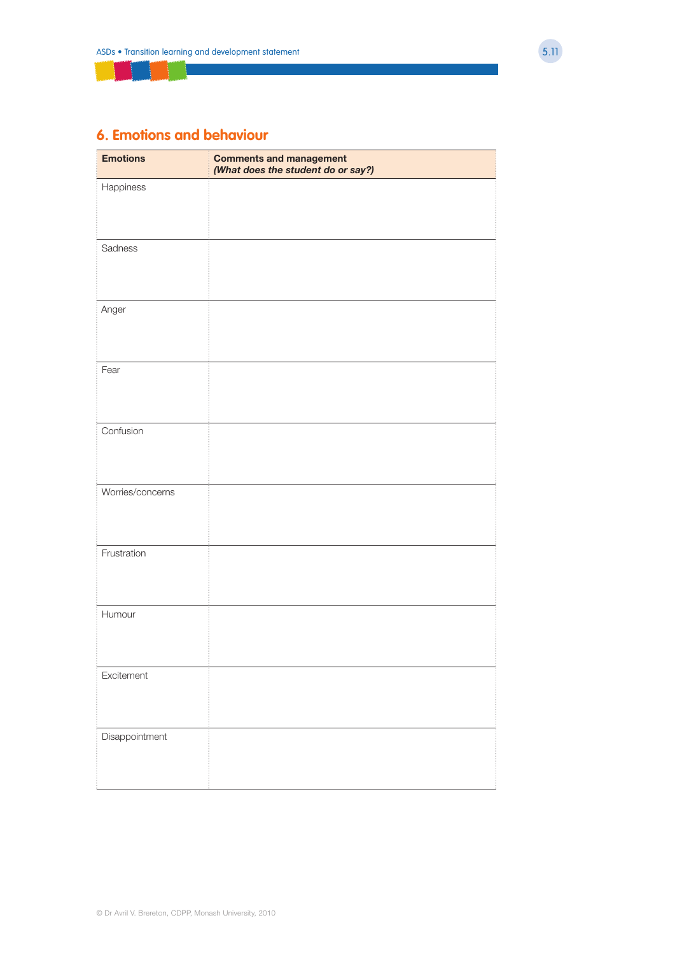## **6. Emotions and behaviour**

| <b>Emotions</b>  | <b>Comments and management</b><br>(What does the student do or say?) |
|------------------|----------------------------------------------------------------------|
| Happiness        |                                                                      |
| Sadness          |                                                                      |
| Anger            |                                                                      |
| Fear             |                                                                      |
| Confusion        |                                                                      |
| Worries/concerns |                                                                      |
| Frustration      |                                                                      |
| Humour           |                                                                      |
| Excitement       |                                                                      |
| Disappointment   |                                                                      |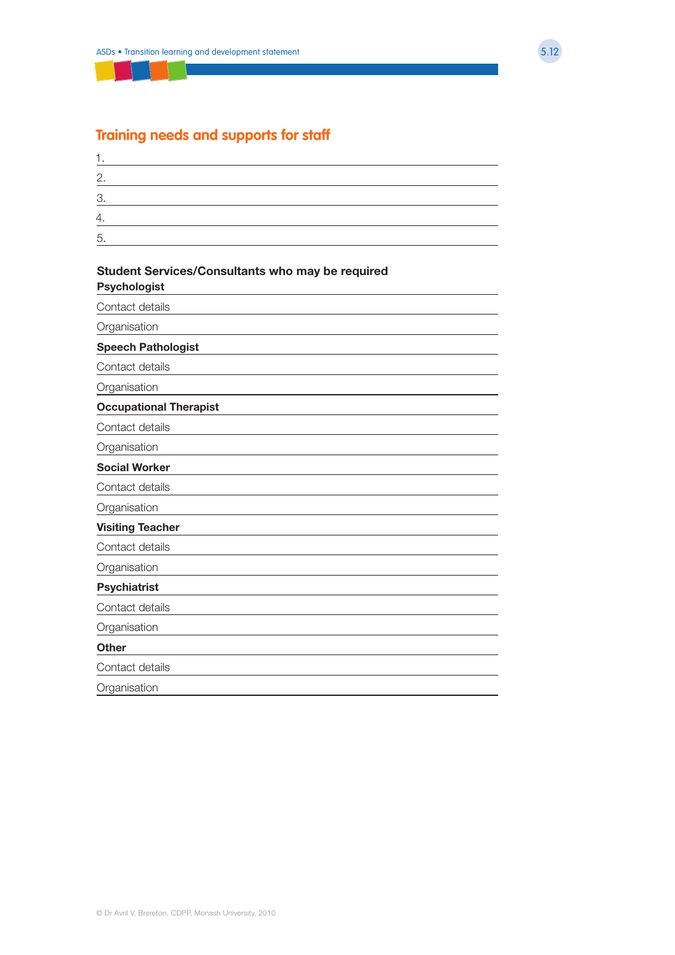### **Training needs and supports for staff**

| 2.       |  |  |  |
|----------|--|--|--|
| ◠<br>. . |  |  |  |
| Λ        |  |  |  |
| 5        |  |  |  |
|          |  |  |  |

### **Student Services/Consultants who may be required Psychologist**

Contact details **Organisation Speech Pathologist** Contact details **Organisation Occupational Therapist** Contact details **Organisation Social Worker** Contact details **Organisation Visiting Teacher** Contact details **Organisation Psychiatrist** Contact details **Organisation Other** Contact details **Organisation**